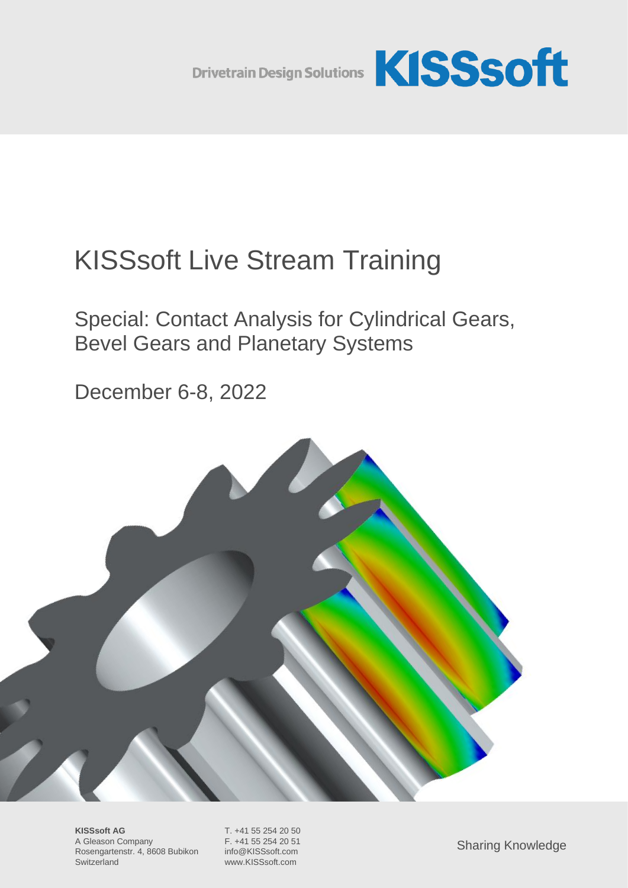

# KISSsoft Live Stream Training

Special: Contact Analysis for Cylindrical Gears, Bevel Gears and Planetary Systems

December 6-8, 2022



**KISSsoft AG** T. +41 55 254 20 50 A Gleason Company F. +41 55 254 20 51 Rosengartenstr. 4, 8608 Bubikon info@KISSsoft.com Switzerland www.KISSsoft.com

Sharing Knowledge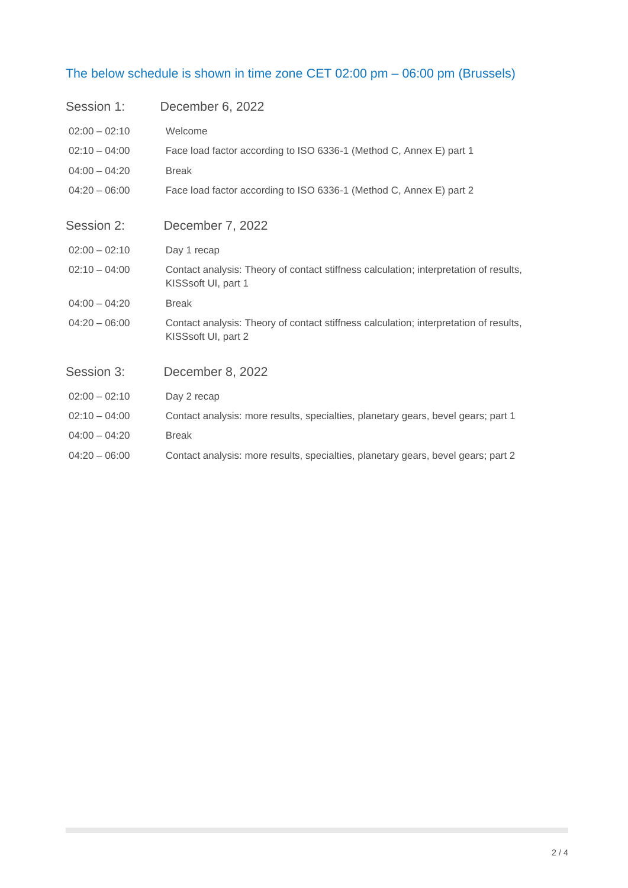## The below schedule is shown in time zone CET 02:00 pm – 06:00 pm (Brussels)

| Session 1:      | December 6, 2022                                                                                             |
|-----------------|--------------------------------------------------------------------------------------------------------------|
| $02:00 - 02:10$ | Welcome                                                                                                      |
| $02:10 - 04:00$ | Face load factor according to ISO 6336-1 (Method C, Annex E) part 1                                          |
| $04:00 - 04:20$ | <b>Break</b>                                                                                                 |
| $04:20 - 06:00$ | Face load factor according to ISO 6336-1 (Method C, Annex E) part 2                                          |
| Session 2:      | December 7, 2022                                                                                             |
| $02:00 - 02:10$ | Day 1 recap                                                                                                  |
| $02:10 - 04:00$ | Contact analysis: Theory of contact stiffness calculation; interpretation of results,<br>KISSsoft UI, part 1 |
| $04:00 - 04:20$ | <b>Break</b>                                                                                                 |
| $04:20 - 06:00$ | Contact analysis: Theory of contact stiffness calculation; interpretation of results,<br>KISSsoft UI, part 2 |
| Session 3:      | December 8, 2022                                                                                             |
| $02:00 - 02:10$ | Day 2 recap                                                                                                  |
| $02:10 - 04:00$ | Contact analysis: more results, specialties, planetary gears, bevel gears; part 1                            |
| $04:00 - 04:20$ | <b>Break</b>                                                                                                 |
| $04:20 - 06:00$ | Contact analysis: more results, specialties, planetary gears, bevel gears; part 2                            |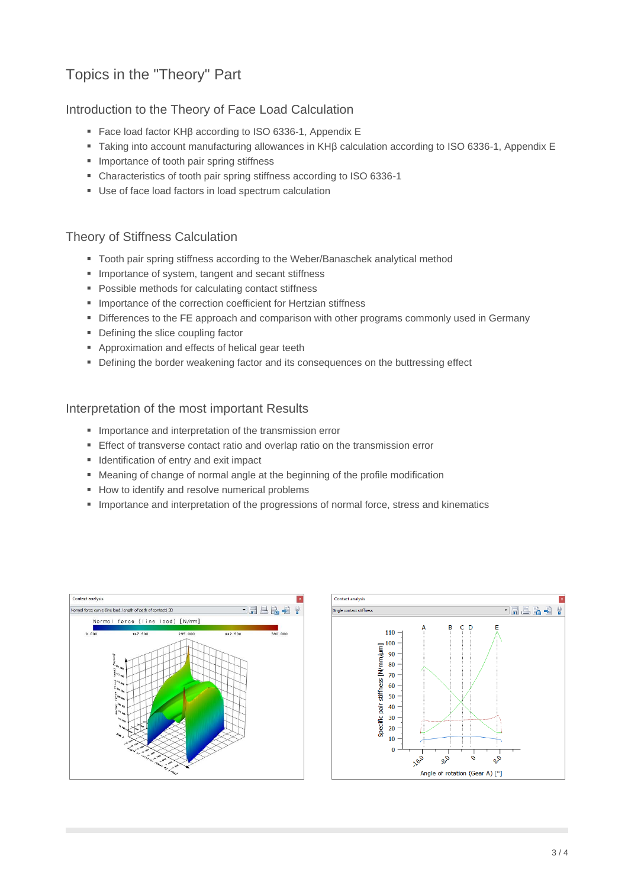# Topics in the "Theory" Part

## Introduction to the Theory of Face Load Calculation

- Face load factor KHβ according to ISO 6336-1, Appendix E
- Taking into account manufacturing allowances in KHβ calculation according to ISO 6336-1, Appendix E
- Importance of tooth pair spring stiffness
- Characteristics of tooth pair spring stiffness according to ISO 6336-1
- Use of face load factors in load spectrum calculation

## Theory of Stiffness Calculation

- Tooth pair spring stiffness according to the Weber/Banaschek analytical method
- Importance of system, tangent and secant stiffness
- Possible methods for calculating contact stiffness
- **·** Importance of the correction coefficient for Hertzian stiffness
- **Differences to the FE approach and comparison with other programs commonly used in Germany**
- Defining the slice coupling factor
- Approximation and effects of helical gear teeth
- Defining the border weakening factor and its consequences on the buttressing effect

#### Interpretation of the most important Results

- **·** Importance and interpretation of the transmission error
- Effect of transverse contact ratio and overlap ratio on the transmission error
- **■** Identification of entry and exit impact
- Meaning of change of normal angle at the beginning of the profile modification
- How to identify and resolve numerical problems
- **.** Importance and interpretation of the progressions of normal force, stress and kinematics